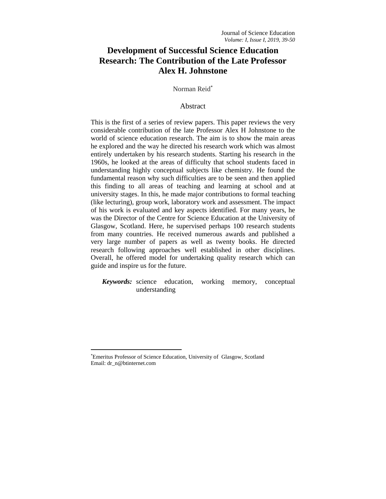# **Development of Successful Science Education Research: The Contribution of the Late Professor Alex H. Johnstone**

Norman Reid

## Abstract

This is the first of a series of review papers. This paper reviews the very considerable contribution of the late Professor Alex H Johnstone to the world of science education research. The aim is to show the main areas he explored and the way he directed his research work which was almost entirely undertaken by his research students. Starting his research in the 1960s, he looked at the areas of difficulty that school students faced in understanding highly conceptual subjects like chemistry. He found the fundamental reason why such difficulties are to be seen and then applied this finding to all areas of teaching and learning at school and at university stages. In this, he made major contributions to formal teaching (like lecturing), group work, laboratory work and assessment. The impact of his work is evaluated and key aspects identified. For many years, he was the Director of the Centre for Science Education at the University of Glasgow, Scotland. Here, he supervised perhaps 100 research students from many countries. He received numerous awards and published a very large number of papers as well as twenty books. He directed research following approaches well established in other disciplines. Overall, he offered model for undertaking quality research which can guide and inspire us for the future.

*Keywords:* science education, working memory, conceptual understanding

 $\overline{\phantom{a}}$ 

Emeritus Professor of Science Education, University of Glasgow, Scotland Email: dr\_n@btinternet.com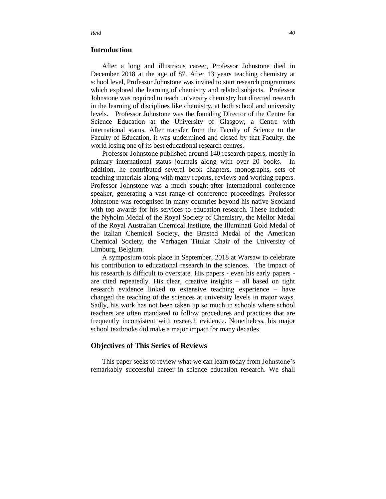## **Introduction**

After a long and illustrious career, Professor Johnstone died in December 2018 at the age of 87. After 13 years teaching chemistry at school level, Professor Johnstone was invited to start research programmes which explored the learning of chemistry and related subjects. Professor Johnstone was required to teach university chemistry but directed research in the learning of disciplines like chemistry, at both school and university levels. Professor Johnstone was the founding Director of the Centre for Science Education at the University of Glasgow, a Centre with international status. After transfer from the Faculty of Science to the Faculty of Education, it was undermined and closed by that Faculty, the world losing one of its best educational research centres.

Professor Johnstone published around 140 research papers, mostly in primary international status journals along with over 20 books. In addition, he contributed several book chapters, monographs, sets of teaching materials along with many reports, reviews and working papers. Professor Johnstone was a much sought-after international conference speaker, generating a vast range of conference proceedings. Professor Johnstone was recognised in many countries beyond his native Scotland with top awards for his services to education research. These included: the Nyholm Medal of the Royal Society of Chemistry, the Mellor Medal of the Royal Australian Chemical Institute, the Illuminati Gold Medal of the Italian Chemical Society, the Brasted Medal of the American Chemical Society, the Verhagen Titular Chair of the University of Limburg, Belgium.

A symposium took place in September, 2018 at Warsaw to celebrate his contribution to educational research in the sciences. The impact of his research is difficult to overstate. His papers - even his early papers are cited repeatedly. His clear, creative insights – all based on tight research evidence linked to extensive teaching experience – have changed the teaching of the sciences at university levels in major ways. Sadly, his work has not been taken up so much in schools where school teachers are often mandated to follow procedures and practices that are frequently inconsistent with research evidence. Nonetheless, his major school textbooks did make a major impact for many decades.

## **Objectives of This Series of Reviews**

This paper seeks to review what we can learn today from Johnstone's remarkably successful career in science education research. We shall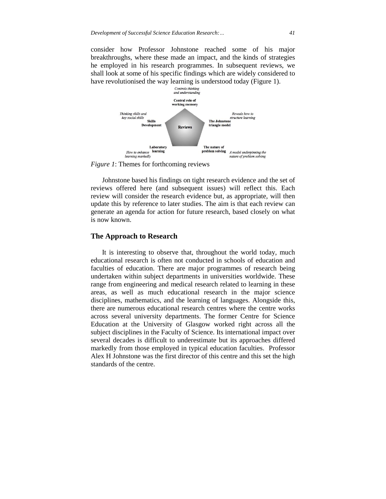consider how Professor Johnstone reached some of his major breakthroughs, where these made an impact, and the kinds of strategies he employed in his research programmes. In subsequent reviews, we shall look at some of his specific findings which are widely considered to have revolutionised the way learning is understood today (Figure 1).



*Figure 1*: Themes for forthcoming reviews

Johnstone based his findings on tight research evidence and the set of reviews offered here (and subsequent issues) will reflect this. Each review will consider the research evidence but, as appropriate, will then update this by reference to later studies. The aim is that each review can generate an agenda for action for future research, based closely on what is now known.

## **The Approach to Research**

It is interesting to observe that, throughout the world today, much educational research is often not conducted in schools of education and faculties of education. There are major programmes of research being undertaken within subject departments in universities worldwide. These range from engineering and medical research related to learning in these areas, as well as much educational research in the major science disciplines, mathematics, and the learning of languages. Alongside this, there are numerous educational research centres where the centre works across several university departments. The former Centre for Science Education at the University of Glasgow worked right across all the subject disciplines in the Faculty of Science. Its international impact over several decades is difficult to underestimate but its approaches differed markedly from those employed in typical education faculties. Professor Alex H Johnstone was the first director of this centre and this set the high standards of the centre.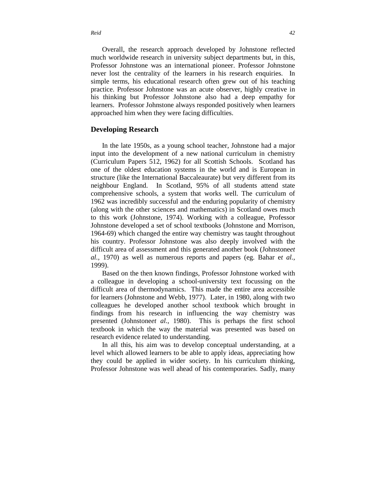*Reid 42*

Overall, the research approach developed by Johnstone reflected much worldwide research in university subject departments but, in this, Professor Johnstone was an international pioneer. Professor Johnstone never lost the centrality of the learners in his research enquiries. In simple terms, his educational research often grew out of his teaching practice. Professor Johnstone was an acute observer, highly creative in his thinking but Professor Johnstone also had a deep empathy for learners. Professor Johnstone always responded positively when learners approached him when they were facing difficulties.

## **Developing Research**

In the late 1950s, as a young school teacher, Johnstone had a major input into the development of a new national curriculum in chemistry (Curriculum Papers 512, 1962) for all Scottish Schools. Scotland has one of the oldest education systems in the world and is European in structure (like the International Baccaleaurate) but very different from its neighbour England. In Scotland, 95% of all students attend state comprehensive schools, a system that works well. The curriculum of 1962 was incredibly successful and the enduring popularity of chemistry (along with the other sciences and mathematics) in Scotland owes much to this work (Johnstone, 1974). Working with a colleague, Professor Johnstone developed a set of school textbooks (Johnstone and Morrison, 1964-69) which changed the entire way chemistry was taught throughout his country. Professor Johnstone was also deeply involved with the difficult area of assessment and this generated another book (Johnstone*et al.,* 1970) as well as numerous reports and papers (eg. Bahar e*t al.,* 1999).

Based on the then known findings, Professor Johnstone worked with a colleague in developing a school-university text focussing on the difficult area of thermodynamics. This made the entire area accessible for learners (Johnstone and Webb, 1977). Later, in 1980, along with two colleagues he developed another school textbook which brought in findings from his research in influencing the way chemistry was presented (Johnstone*et al.,* 1980). This is perhaps the first school textbook in which the way the material was presented was based on research evidence related to understanding.

In all this, his aim was to develop conceptual understanding, at a level which allowed learners to be able to apply ideas, appreciating how they could be applied in wider society. In his curriculum thinking, Professor Johnstone was well ahead of his contemporaries. Sadly, many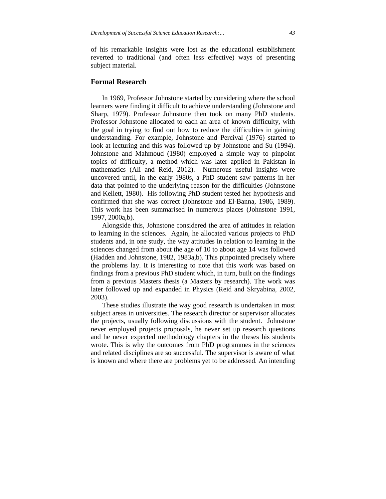of his remarkable insights were lost as the educational establishment reverted to traditional (and often less effective) ways of presenting subject material.

## **Formal Research**

In 1969, Professor Johnstone started by considering where the school learners were finding it difficult to achieve understanding (Johnstone and Sharp, 1979). Professor Johnstone then took on many PhD students. Professor Johnstone allocated to each an area of known difficulty, with the goal in trying to find out how to reduce the difficulties in gaining understanding. For example, Johnstone and Percival (1976) started to look at lecturing and this was followed up by Johnstone and Su (1994). Johnstone and Mahmoud (1980) employed a simple way to pinpoint topics of difficulty, a method which was later applied in Pakistan in mathematics (Ali and Reid, 2012). Numerous useful insights were uncovered until, in the early 1980s, a PhD student saw patterns in her data that pointed to the underlying reason for the difficulties (Johnstone and Kellett, 1980). His following PhD student tested her hypothesis and confirmed that she was correct (Johnstone and El-Banna, 1986, 1989). This work has been summarised in numerous places (Johnstone 1991, 1997, 2000a,b).

Alongside this, Johnstone considered the area of attitudes in relation to learning in the sciences. Again, he allocated various projects to PhD students and, in one study, the way attitudes in relation to learning in the sciences changed from about the age of 10 to about age 14 was followed (Hadden and Johnstone, 1982, 1983a,b). This pinpointed precisely where the problems lay. It is interesting to note that this work was based on findings from a previous PhD student which, in turn, built on the findings from a previous Masters thesis (a Masters by research). The work was later followed up and expanded in Physics (Reid and Skryabina, 2002, 2003).

These studies illustrate the way good research is undertaken in most subject areas in universities. The research director or supervisor allocates the projects, usually following discussions with the student. Johnstone never employed projects proposals, he never set up research questions and he never expected methodology chapters in the theses his students wrote. This is why the outcomes from PhD programmes in the sciences and related disciplines are so successful. The supervisor is aware of what is known and where there are problems yet to be addressed. An intending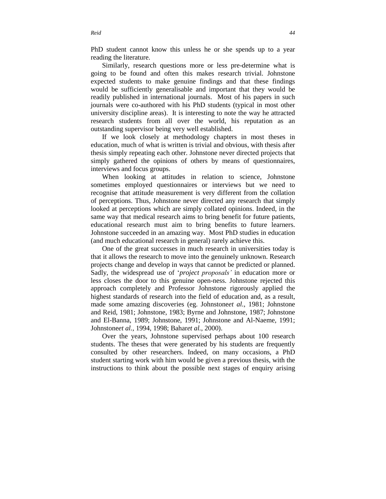Similarly, research questions more or less pre-determine what is going to be found and often this makes research trivial. Johnstone expected students to make genuine findings and that these findings would be sufficiently generalisable and important that they would be readily published in international journals. Most of his papers in such journals were co-authored with his PhD students (typical in most other university discipline areas). It is interesting to note the way he attracted research students from all over the world, his reputation as an outstanding supervisor being very well established.

If we look closely at methodology chapters in most theses in education, much of what is written is trivial and obvious, with thesis after thesis simply repeating each other. Johnstone never directed projects that simply gathered the opinions of others by means of questionnaires, interviews and focus groups.

When looking at attitudes in relation to science, Johnstone sometimes employed questionnaires or interviews but we need to recognise that attitude measurement is very different from the collation of perceptions. Thus, Johnstone never directed any research that simply looked at perceptions which are simply collated opinions. Indeed, in the same way that medical research aims to bring benefit for future patients, educational research must aim to bring benefits to future learners. Johnstone succeeded in an amazing way. Most PhD studies in education (and much educational research in general) rarely achieve this.

One of the great successes in much research in universities today is that it allows the research to move into the genuinely unknown. Research projects change and develop in ways that cannot be predicted or planned. Sadly, the widespread use of '*project proposals'* in education more or less closes the door to this genuine open-ness. Johnstone rejected this approach completely and Professor Johnstone rigorously applied the highest standards of research into the field of education and, as a result, made some amazing discoveries (eg. Johnstone*et al.,* 1981; Johnstone and Reid, 1981; Johnstone, 1983; Byrne and Johnstone, 1987; Johnstone and El-Banna, 1989; Johnstone, 1991; Johnstone and Al-Naeme, 1991; Johnstone*et al.,* 1994, 1998; Bahar*et al.*, 2000).

Over the years, Johnstone supervised perhaps about 100 research students. The theses that were generated by his students are frequently consulted by other researchers. Indeed, on many occasions, a PhD student starting work with him would be given a previous thesis, with the instructions to think about the possible next stages of enquiry arising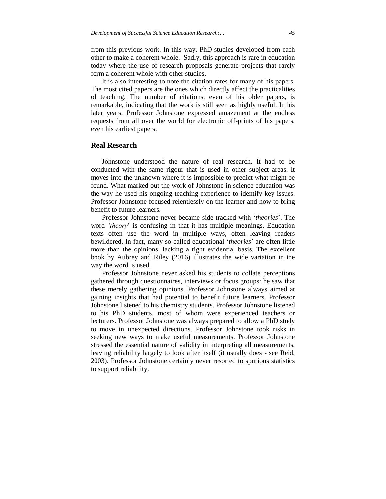from this previous work. In this way, PhD studies developed from each other to make a coherent whole. Sadly, this approach is rare in education today where the use of research proposals generate projects that rarely form a coherent whole with other studies.

It is also interesting to note the citation rates for many of his papers. The most cited papers are the ones which directly affect the practicalities of teaching. The number of citations, even of his older papers, is remarkable, indicating that the work is still seen as highly useful. In his later years, Professor Johnstone expressed amazement at the endless requests from all over the world for electronic off-prints of his papers, even his earliest papers.

## **Real Research**

Johnstone understood the nature of real research. It had to be conducted with the same rigour that is used in other subject areas. It moves into the unknown where it is impossible to predict what might be found. What marked out the work of Johnstone in science education was the way he used his ongoing teaching experience to identify key issues. Professor Johnstone focused relentlessly on the learner and how to bring benefit to future learners.

Professor Johnstone never became side-tracked with '*theories*'. The word *'theory*' is confusing in that it has multiple meanings. Education texts often use the word in multiple ways, often leaving readers bewildered. In fact, many so-called educational '*theories*' are often little more than the opinions, lacking a tight evidential basis. The excellent book by Aubrey and Riley (2016) illustrates the wide variation in the way the word is used.

Professor Johnstone never asked his students to collate perceptions gathered through questionnaires, interviews or focus groups: he saw that these merely gathering opinions. Professor Johnstone always aimed at gaining insights that had potential to benefit future learners. Professor Johnstone listened to his chemistry students. Professor Johnstone listened to his PhD students, most of whom were experienced teachers or lecturers. Professor Johnstone was always prepared to allow a PhD study to move in unexpected directions. Professor Johnstone took risks in seeking new ways to make useful measurements. Professor Johnstone stressed the essential nature of validity in interpreting all measurements, leaving reliability largely to look after itself (it usually does - see Reid, 2003). Professor Johnstone certainly never resorted to spurious statistics to support reliability.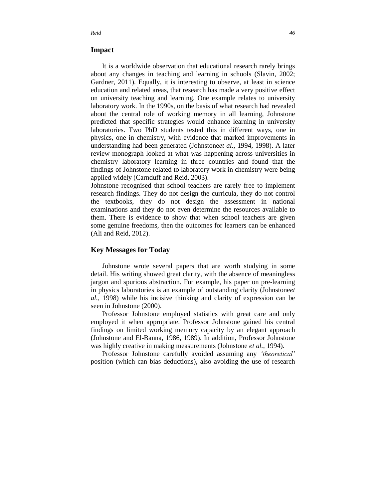## **Impact**

It is a worldwide observation that educational research rarely brings about any changes in teaching and learning in schools (Slavin, 2002; Gardner, 2011). Equally, it is interesting to observe, at least in science education and related areas, that research has made a very positive effect on university teaching and learning. One example relates to university laboratory work. In the 1990s, on the basis of what research had revealed about the central role of working memory in all learning, Johnstone predicted that specific strategies would enhance learning in university laboratories. Two PhD students tested this in different ways, one in physics, one in chemistry, with evidence that marked improvements in understanding had been generated (Johnstone*et al.,* 1994, 1998). A later review monograph looked at what was happening across universities in chemistry laboratory learning in three countries and found that the findings of Johnstone related to laboratory work in chemistry were being applied widely (Carnduff and Reid, 2003).

Johnstone recognised that school teachers are rarely free to implement research findings. They do not design the curricula, they do not control the textbooks, they do not design the assessment in national examinations and they do not even determine the resources available to them. There is evidence to show that when school teachers are given some genuine freedoms, then the outcomes for learners can be enhanced (Ali and Reid, 2012).

## **Key Messages for Today**

Johnstone wrote several papers that are worth studying in some detail. His writing showed great clarity, with the absence of meaningless jargon and spurious abstraction. For example, his paper on pre-learning in physics laboratories is an example of outstanding clarity (Johnstone*et al.,* 1998) while his incisive thinking and clarity of expression can be seen in Johnstone (2000).

Professor Johnstone employed statistics with great care and only employed it when appropriate. Professor Johnstone gained his central findings on limited working memory capacity by an elegant approach (Johnstone and El-Banna, 1986, 1989). In addition, Professor Johnstone was highly creative in making measurements (Johnstone *et al.*, 1994).

Professor Johnstone carefully avoided assuming any *'theoretical'* position (which can bias deductions), also avoiding the use of research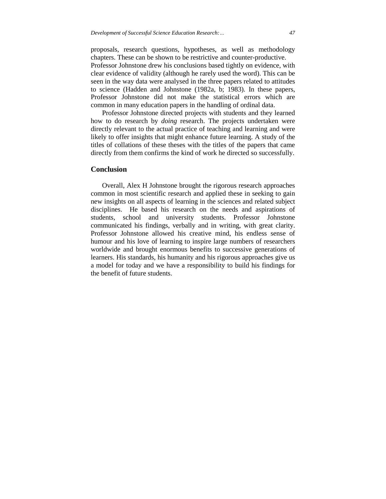proposals, research questions, hypotheses, as well as methodology chapters. These can be shown to be restrictive and counter-productive.

Professor Johnstone drew his conclusions based tightly on evidence, with clear evidence of validity (although he rarely used the word). This can be seen in the way data were analysed in the three papers related to attitudes to science (Hadden and Johnstone (1982a, b; 1983). In these papers, Professor Johnstone did not make the statistical errors which are common in many education papers in the handling of ordinal data.

Professor Johnstone directed projects with students and they learned how to do research by *doing* research. The projects undertaken were directly relevant to the actual practice of teaching and learning and were likely to offer insights that might enhance future learning. A study of the titles of collations of these theses with the titles of the papers that came directly from them confirms the kind of work he directed so successfully.

## **Conclusion**

Overall, Alex H Johnstone brought the rigorous research approaches common in most scientific research and applied these in seeking to gain new insights on all aspects of learning in the sciences and related subject disciplines. He based his research on the needs and aspirations of students, school and university students. Professor Johnstone communicated his findings, verbally and in writing, with great clarity. Professor Johnstone allowed his creative mind, his endless sense of humour and his love of learning to inspire large numbers of researchers worldwide and brought enormous benefits to successive generations of learners. His standards, his humanity and his rigorous approaches give us a model for today and we have a responsibility to build his findings for the benefit of future students.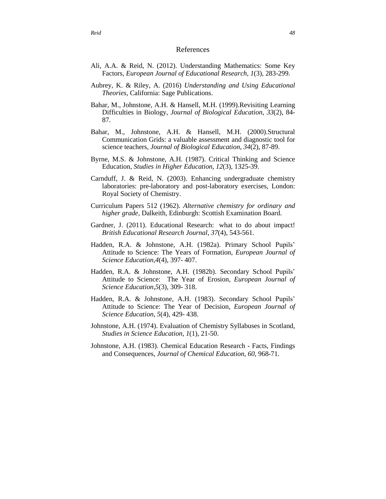#### References

- Ali, A.A. & Reid, N. (2012). Understanding Mathematics: Some Key Factors, *European Journal of Educational Research*, *1*(3), 283-299.
- Aubrey, K. & Riley, A. (2016) *Understanding and Using Educational Theories*, California: Sage Publications.
- Bahar, M., Johnstone, A.H. & Hansell, M.H. (1999).Revisiting Learning Difficulties in Biology, *Journal of Biological Education*, *33*(2), 84- 87.
- Bahar, M., Johnstone, A.H. & Hansell, M.H. (2000).Structural Communication Grids: a valuable assessment and diagnostic tool for science teachers, *Journal of Biological Education*, *34*(2), 87-89.
- Byrne, M.S. & Johnstone, A.H. (1987). Critical Thinking and Science Education, *Studies in Higher Education*, *12*(3), 1325-39.
- Carnduff, J. & Reid, N. (2003). Enhancing undergraduate chemistry laboratories: pre-laboratory and post-laboratory exercises, London: Royal Society of Chemistry.
- Curriculum Papers 512 (1962). *Alternative chemistry for ordinary and higher grade*, Dalkeith, Edinburgh: Scottish Examination Board.
- Gardner, J. (2011). Educational Research: what to do about impact! *British Educational Research Journal*, *37*(4), 543-561.
- Hadden, R.A. & Johnstone, A.H. (1982a). Primary School Pupils' Attitude to Science: The Years of Formation, *European Journal of Science Education,4*(4), 397- 407.
- Hadden, R.A. & Johnstone, A.H. (1982b). Secondary School Pupils' Attitude to Science: The Year of Erosion, *European Journal of Science Education,5*(3), 309- 318.
- Hadden, R.A. & Johnstone, A.H. (1983). Secondary School Pupils' Attitude to Science: The Year of Decision, *European Journal of Science Education, 5*(4), 429- 438.
- Johnstone, A.H. (1974). Evaluation of Chemistry Syllabuses in Scotland, *Studies in Science Education*, *1*(1), 21-50.
- Johnstone, A.H. (1983). Chemical Education Research Facts, Findings and Consequences, *Journal of Chemical Education*, *60*, 968-71.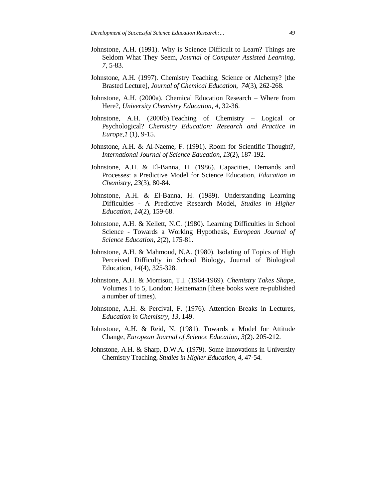- Johnstone, A.H. (1991). Why is Science Difficult to Learn? Things are Seldom What They Seem, *Journal of Computer Assisted Learning*, *7*, 5-83.
- Johnstone, A.H. (1997). Chemistry Teaching, Science or Alchemy? [the Brasted Lecture], *Journal of Chemical Education*, *74*(3), 262-268.
- Johnstone, A.H. (2000a). Chemical Education Research Where from Here?, *University Chemistry Education*, *4*, 32-36.
- Johnstone, A.H. (2000b).Teaching of Chemistry Logical or Psychological? *Chemistry Education: Research and Practice in Europe,1* (1), 9-15.
- Johnstone, A.H. & Al-Naeme, F. (1991). Room for Scientific Thought?, *International Journal of Science Education*, *13*(2), 187-192.
- Johnstone, A.H. & El-Banna, H. (1986). Capacities, Demands and Processes: a Predictive Model for Science Education, *Education in Chemistry*, *23*(3), 80-84.
- Johnstone, A.H. & El-Banna, H. (1989). Understanding Learning Difficulties - A Predictive Research Model, *Studies in Higher Education, 14*(2), 159-68.
- Johnstone, A.H. & Kellett, N.C. (1980). Learning Difficulties in School Science - Towards a Working Hypothesis, *European Journal of Science Education*, *2*(2), 175-81.
- Johnstone, A.H. & Mahmoud, N.A. (1980). Isolating of Topics of High Perceived Difficulty in School Biology, Journal of Biological Education, *14*(4), 325-328.
- Johnstone, A.H. & Morrison, T.I. (1964-1969). *Chemistry Takes Shap*e, Volumes 1 to 5, London: Heinemann [these books were re-published a number of times).
- Johnstone, A.H. & Percival, F. (1976). Attention Breaks in Lectures, *Education in Chemistry, 13*, 149.
- Johnstone, A.H. & Reid, N. (1981). Towards a Model for Attitude Change, *European Journal of Science Education*, *3*(2). 205-212.
- Johnstone, A.H. & Sharp, D.W.A. (1979). Some Innovations in University Chemistry Teaching, *Studies in Higher Education*, *4*, 47-54.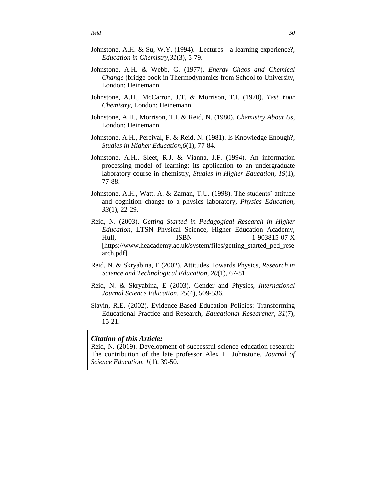- Johnstone, A.H. & Su, W.Y. (1994). Lectures a learning experience?, *Education in Chemistry,31*(3), 5-79.
- Johnstone, A.H. & Webb, G. (1977). *Energy Chaos and Chemical Change* (bridge book in Thermodynamics from School to University, London: Heinemann.
- Johnstone, A.H., McCarron, J.T. & Morrison, T.I. (1970). *Test Your Chemistry,* London: Heinemann.
- Johnstone, A.H., Morrison, T.I. & Reid, N. (1980). *Chemistry About Us,* London: Heinemann.
- Johnstone, A.H., Percival, F. & Reid, N. (1981). Is Knowledge Enough?, *Studies in Higher Education,6*(1), 77-84.
- Johnstone, A.H., Sleet, R.J. & Vianna, J.F. (1994). An information processing model of learning: its application to an undergraduate laboratory course in chemistry, *Studies in Higher Education, 19*(1), 77-88.
- Johnstone, A.H., Watt. A. & Zaman, T.U. (1998). The students' attitude and cognition change to a physics laboratory, *Physics Education, 33*(1), 22-29.
- Reid, N. (2003). *Getting Started in Pedagogical Research in Higher Education,* LTSN Physical Science, Higher Education Academy, Hull, ISBN 1-903815-07-X [https://www.heacademy.ac.uk/system/files/getting\_started\_ped\_rese arch.pdf]
- Reid, N. & Skryabina, E (2002). Attitudes Towards Physics, *Research in Science and Technological Education*, *20*(1), 67-81.
- Reid, N. & Skryabina, E (2003). Gender and Physics, *International Journal Science Education, 25*(4), 509-536.
- Slavin, R.E. (2002). Evidence-Based Education Policies: Transforming Educational Practice and Research, *Educational Researcher, 31*(7), 15-21.

## *Citation of this Article:*

Reid, N. (2019). Development of successful science education research: The contribution of the late professor Alex H. Johnstone. *Journal of Science Education, 1*(1), 39-50.